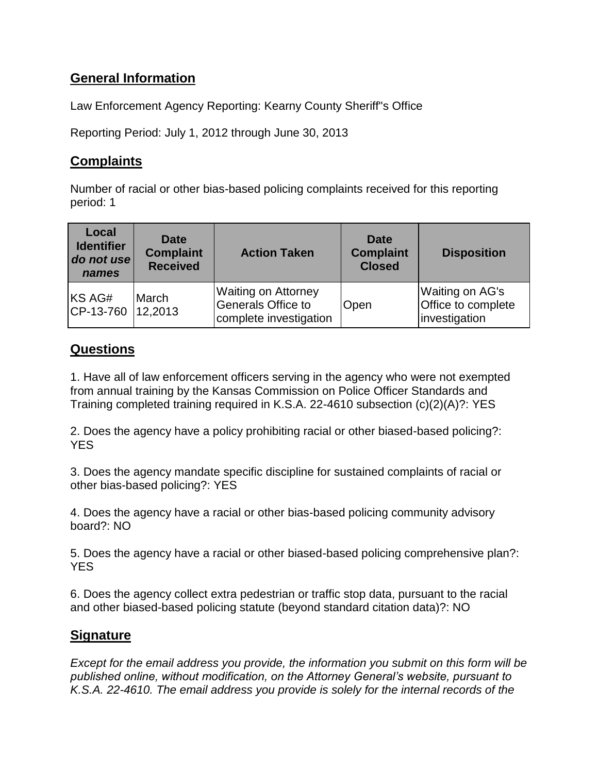## **General Information**

Law Enforcement Agency Reporting: Kearny County Sheriff"s Office

Reporting Period: July 1, 2012 through June 30, 2013

## **Complaints**

Number of racial or other bias-based policing complaints received for this reporting period: 1

| Local<br><b>Identifier</b><br>do not use<br>names | Date<br><b>Complaint</b><br><b>Received</b> | <b>Action Taken</b>                                                        | Date<br><b>Complaint</b><br><b>Closed</b> | <b>Disposition</b>                                     |
|---------------------------------------------------|---------------------------------------------|----------------------------------------------------------------------------|-------------------------------------------|--------------------------------------------------------|
| KS AG#<br>CP-13-760 12,2013                       | March                                       | <b>Waiting on Attorney</b><br>Generals Office to<br>complete investigation | Open                                      | Waiting on AG's<br>Office to complete<br>investigation |

## **Questions**

1. Have all of law enforcement officers serving in the agency who were not exempted from annual training by the Kansas Commission on Police Officer Standards and Training completed training required in K.S.A. 22-4610 subsection (c)(2)(A)?: YES

2. Does the agency have a policy prohibiting racial or other biased-based policing?: YES

3. Does the agency mandate specific discipline for sustained complaints of racial or other bias-based policing?: YES

4. Does the agency have a racial or other bias-based policing community advisory board?: NO

5. Does the agency have a racial or other biased-based policing comprehensive plan?: YES

6. Does the agency collect extra pedestrian or traffic stop data, pursuant to the racial and other biased-based policing statute (beyond standard citation data)?: NO

## **Signature**

*Except for the email address you provide, the information you submit on this form will be published online, without modification, on the Attorney General's website, pursuant to K.S.A. 22-4610. The email address you provide is solely for the internal records of the*